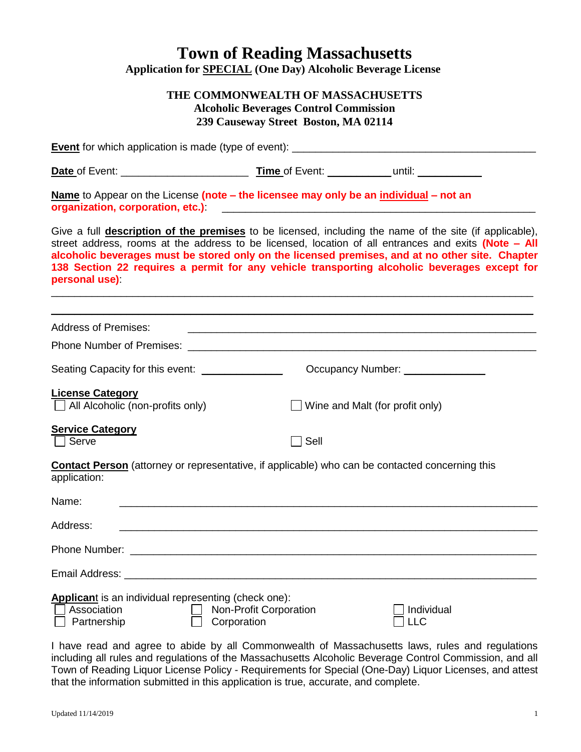## **Town of Reading Massachusetts Application for SPECIAL (One Day) Alcoholic Beverage License**

## **THE COMMONWEALTH OF MASSACHUSETTS Alcoholic Beverages Control Commission 239 Causeway Street Boston, MA 02114**

| Name to Appear on the License (note – the licensee may only be an individual – not an<br>organization, corporation, etc.)<br>and the content of the content of the content of the content of the content of the content of the content of the content of the content of the content of the content of the content of the                                                                                                                    |                        |                                  |
|---------------------------------------------------------------------------------------------------------------------------------------------------------------------------------------------------------------------------------------------------------------------------------------------------------------------------------------------------------------------------------------------------------------------------------------------|------------------------|----------------------------------|
| Give a full <b>description of the premises</b> to be licensed, including the name of the site (if applicable),<br>street address, rooms at the address to be licensed, location of all entrances and exits (Note - All<br>alcoholic beverages must be stored only on the licensed premises, and at no other site. Chapter<br>138 Section 22 requires a permit for any vehicle transporting alcoholic beverages except for<br>personal use): |                        |                                  |
| <b>Address of Premises:</b>                                                                                                                                                                                                                                                                                                                                                                                                                 |                        |                                  |
|                                                                                                                                                                                                                                                                                                                                                                                                                                             |                        |                                  |
| Seating Capacity for this event: _______________                                                                                                                                                                                                                                                                                                                                                                                            |                        | Occupancy Number: ______________ |
| <b>License Category</b><br>$\Box$ All Alcoholic (non-profits only)                                                                                                                                                                                                                                                                                                                                                                          |                        | Wine and Malt (for profit only)  |
| <b>Service Category</b><br>$\lfloor \cdot \rfloor$ Serve                                                                                                                                                                                                                                                                                                                                                                                    | $\Box$ Sell            |                                  |
| <b>Contact Person</b> (attorney or representative, if applicable) who can be contacted concerning this<br>application:                                                                                                                                                                                                                                                                                                                      |                        |                                  |
| Name:                                                                                                                                                                                                                                                                                                                                                                                                                                       |                        |                                  |
| Address:<br><u> 1989 - Johann Barn, mars ann an t-Amhain ann an t-Amhain ann an t-Amhain an t-Amhain an t-Amhain an t-Amhain </u>                                                                                                                                                                                                                                                                                                           |                        |                                  |
|                                                                                                                                                                                                                                                                                                                                                                                                                                             |                        |                                  |
| Email Address:                                                                                                                                                                                                                                                                                                                                                                                                                              |                        |                                  |
| <b>Applicant</b> is an individual representing (check one):<br>Association<br>Partnership<br>Corporation                                                                                                                                                                                                                                                                                                                                    | Non-Profit Corporation | Individual<br><b>LLC</b>         |

I have read and agree to abide by all Commonwealth of Massachusetts laws, rules and regulations including all rules and regulations of the Massachusetts Alcoholic Beverage Control Commission, and all Town of Reading Liquor License Policy - Requirements for Special (One-Day) Liquor Licenses, and attest that the information submitted in this application is true, accurate, and complete.